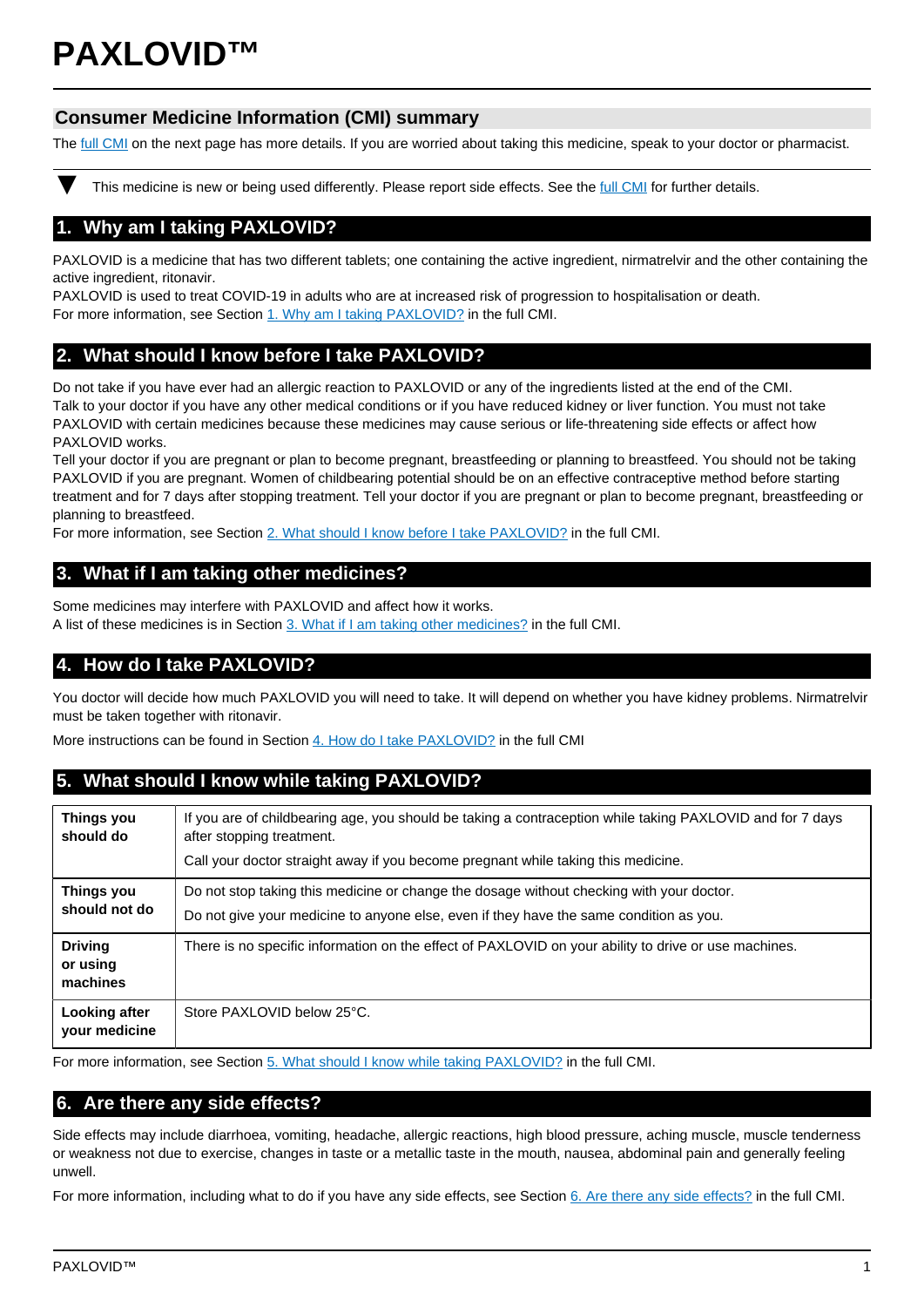# **PAXLOVID™**

# **Consumer Medicine Information (CMI) summary**

The [full CMI](#page-1-0) on the next page has more details. If you are worried about taking this medicine, speak to your doctor or pharmacist.

This medicine is new or being used differently. Please report side effects. See the [full CMI](#page-1-0) for further details.

# **1. Why am I taking PAXLOVID?**

PAXLOVID is a medicine that has two different tablets; one containing the active ingredient, nirmatrelvir and the other containing the active ingredient, ritonavir.

PAXLOVID is used to treat COVID-19 in adults who are at increased risk of progression to hospitalisation or death. For more information, see Section [1. Why am I taking PAXLOVID?](#page-1-1) in the full CMI.

# **2. What should I know before I take PAXLOVID?**

Do not take if you have ever had an allergic reaction to PAXLOVID or any of the ingredients listed at the end of the CMI. Talk to your doctor if you have any other medical conditions or if you have reduced kidney or liver function. You must not take PAXLOVID with certain medicines because these medicines may cause serious or life-threatening side effects or affect how PAXLOVID works.

Tell your doctor if you are pregnant or plan to become pregnant, breastfeeding or planning to breastfeed. You should not be taking PAXLOVID if you are pregnant. Women of childbearing potential should be on an effective contraceptive method before starting treatment and for 7 days after stopping treatment. Tell your doctor if you are pregnant or plan to become pregnant, breastfeeding or planning to breastfeed.

For more information, see Section [2. What should I know before I take PAXLOVID?](#page-1-2) in the full CMI.

# **3. What if I am taking other medicines?**

Some medicines may interfere with PAXLOVID and affect how it works.

A list of these medicines is in Section [3. What if I am taking other medicines?](#page-1-3) in the full CMI.

# **4. How do I take PAXLOVID?**

You doctor will decide how much PAXLOVID you will need to take. It will depend on whether you have kidney problems. Nirmatrelvir must be taken together with ritonavir.

More instructions can be found in Section [4. How do I take PAXLOVID?](#page-2-0) in the full CMI

# **5. What should I know while taking PAXLOVID?**

| Things you<br>should do                | If you are of childbearing age, you should be taking a contraception while taking PAXLOVID and for 7 days<br>after stopping treatment.<br>Call your doctor straight away if you become pregnant while taking this medicine. |
|----------------------------------------|-----------------------------------------------------------------------------------------------------------------------------------------------------------------------------------------------------------------------------|
| Things you<br>should not do            | Do not stop taking this medicine or change the dosage without checking with your doctor.<br>Do not give your medicine to anyone else, even if they have the same condition as you.                                          |
| <b>Driving</b><br>or using<br>machines | There is no specific information on the effect of PAXLOVID on your ability to drive or use machines.                                                                                                                        |
| Looking after<br>your medicine         | Store PAXLOVID below 25°C.                                                                                                                                                                                                  |

For more information, see Section [5. What should I know while taking PAXLOVID?](#page-2-1) in the full CMI.

# **6. Are there any side effects?**

Side effects may include diarrhoea, vomiting, headache, allergic reactions, high blood pressure, aching muscle, muscle tenderness or weakness not due to exercise, changes in taste or a metallic taste in the mouth, nausea, abdominal pain and generally feeling unwell.

For more information, including what to do if you have any side effects, see Section [6. Are there any side effects?](#page-2-2) in the full CMI.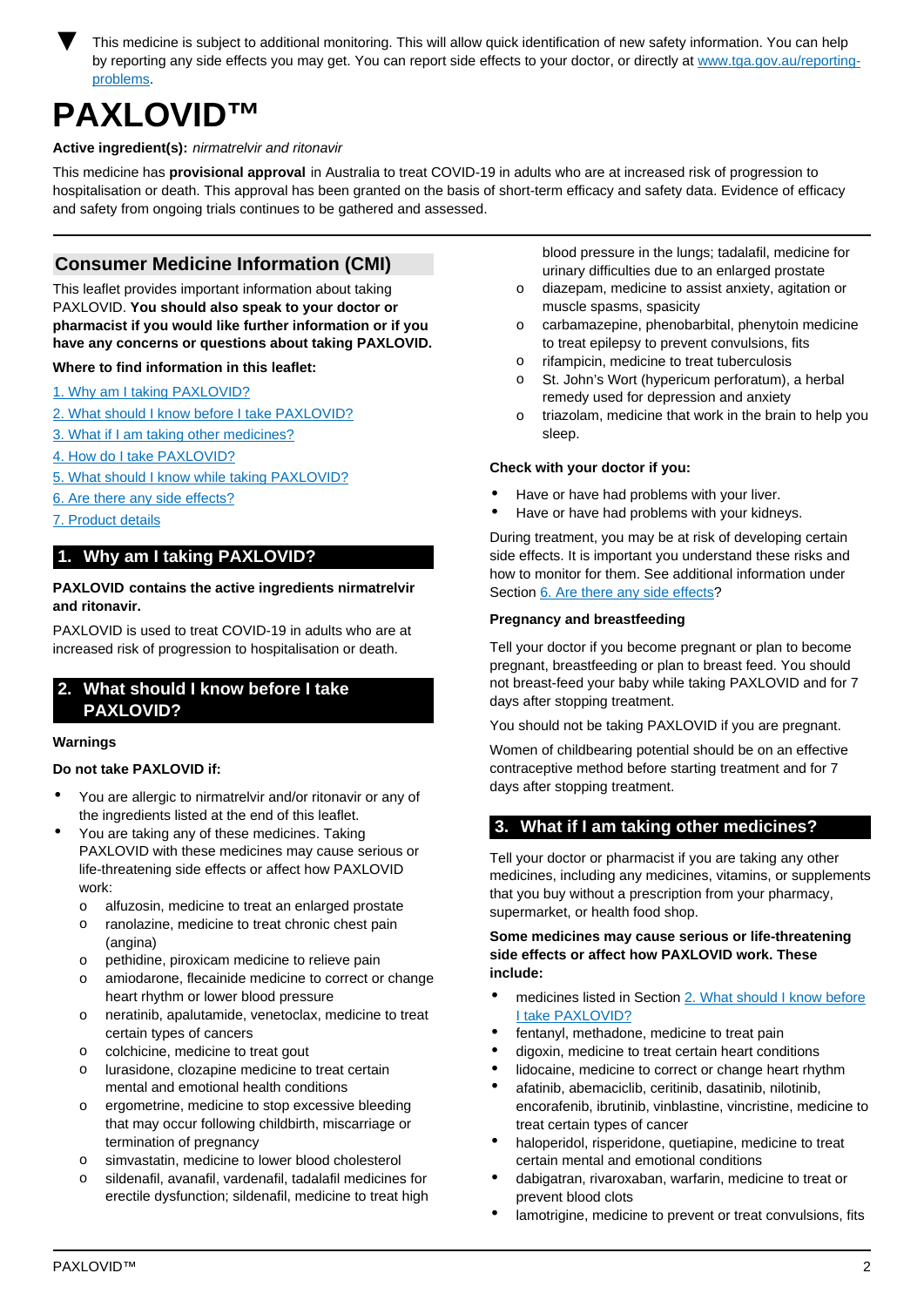<span id="page-1-0"></span>This medicine is subject to additional monitoring. This will allow quick identification of new safety information. You can help by reporting any side effects you may get. You can report side effects to your doctor, or directly at [www.tga.gov.au/reporting](http://www.tga.gov.au/reporting-problems)[problems.](http://www.tga.gov.au/reporting-problems)

# **PAXLOVID™**

## **Active ingredient(s):** nirmatrelvir and ritonavir

This medicine has **provisional approval** in Australia to treat COVID-19 in adults who are at increased risk of progression to hospitalisation or death. This approval has been granted on the basis of short-term efficacy and safety data. Evidence of efficacy and safety from ongoing trials continues to be gathered and assessed.

# **Consumer Medicine Information (CMI)**

This leaflet provides important information about taking PAXLOVID. **You should also speak to your doctor or pharmacist if you would like further information or if you have any concerns or questions about taking PAXLOVID.**

#### **Where to find information in this leaflet:**

- [1. Why am I taking PAXLOVID?](#page-1-1)
- [2. What should I know before I take PAXLOVID?](#page-1-2)
- [3. What if I am taking other medicines?](#page-1-4)
- [4. How do I take PAXLOVID?](#page-2-0)
- [5. What should I know while taking PAXLOVID?](#page-2-1)
- [6. Are there any side effects?](#page-2-2)
- [7. Product details](#page-3-0)

# <span id="page-1-1"></span>**1. Why am I taking PAXLOVID?**

#### **PAXLOVID contains the active ingredients nirmatrelvir and ritonavir.**

PAXLOVID is used to treat COVID-19 in adults who are at increased risk of progression to hospitalisation or death.

# <span id="page-1-2"></span>**2. What should I know before I take PAXLOVID?**

#### **Warnings**

#### **Do not take PAXLOVID if:**

- You are allergic to nirmatrelvir and/or ritonavir or any of the ingredients listed at the end of this leaflet.
- You are taking any of these medicines. Taking PAXLOVID with these medicines may cause serious or life-threatening side effects or affect how PAXLOVID work:
	- o alfuzosin, medicine to treat an enlarged prostate
	- o ranolazine, medicine to treat chronic chest pain (angina)
	- o pethidine, piroxicam medicine to relieve pain
	- o amiodarone, flecainide medicine to correct or change heart rhythm or lower blood pressure
	- o neratinib, apalutamide, venetoclax, medicine to treat certain types of cancers
	- o colchicine, medicine to treat gout
	- o lurasidone, clozapine medicine to treat certain mental and emotional health conditions
	- o ergometrine, medicine to stop excessive bleeding that may occur following childbirth, miscarriage or termination of pregnancy
	- o simvastatin, medicine to lower blood cholesterol
	- o sildenafil, avanafil, vardenafil, tadalafil medicines for erectile dysfunction; sildenafil, medicine to treat high

blood pressure in the lungs; tadalafil, medicine for urinary difficulties due to an enlarged prostate

- o diazepam, medicine to assist anxiety, agitation or muscle spasms, spasicity
- o carbamazepine, phenobarbital, phenytoin medicine to treat epilepsy to prevent convulsions, fits
- o rifampicin, medicine to treat tuberculosis
- o St. John's Wort (hypericum perforatum), a herbal remedy used for depression and anxiety
- o triazolam, medicine that work in the brain to help you sleep.

#### **Check with your doctor if you:**

- Have or have had problems with your liver.
- Have or have had problems with your kidneys.

During treatment, you may be at risk of developing certain side effects. It is important you understand these risks and how to monitor for them. See additional information under Section [6. Are there any side effects](#page-2-2)?

#### <span id="page-1-3"></span>**Pregnancy and breastfeeding**

Tell your doctor if you become pregnant or plan to become pregnant, breastfeeding or plan to breast feed. You should not breast-feed your baby while taking PAXLOVID and for 7 days after stopping treatment.

You should not be taking PAXLOVID if you are pregnant.

Women of childbearing potential should be on an effective contraceptive method before starting treatment and for 7 days after stopping treatment.

# <span id="page-1-4"></span>**3. What if I am taking other medicines?**

Tell your doctor or pharmacist if you are taking any other medicines, including any medicines, vitamins, or supplements that you buy without a prescription from your pharmacy, supermarket, or health food shop.

**Some medicines may cause serious or life-threatening side effects or affect how PAXLOVID work. These include:**

- medicines listed in Section [2. What should I know before](#page-2-0) [I take PAXLOVID?](#page-2-0)
- fentanyl, methadone, medicine to treat pain
- digoxin, medicine to treat certain heart conditions
- lidocaine, medicine to correct or change heart rhythm
- afatinib, abemaciclib, ceritinib, dasatinib, nilotinib, encorafenib, ibrutinib, vinblastine, vincristine, medicine to treat certain types of cancer
- haloperidol, risperidone, quetiapine, medicine to treat certain mental and emotional conditions
- dabigatran, rivaroxaban, warfarin, medicine to treat or prevent blood clots
- lamotrigine, medicine to prevent or treat convulsions, fits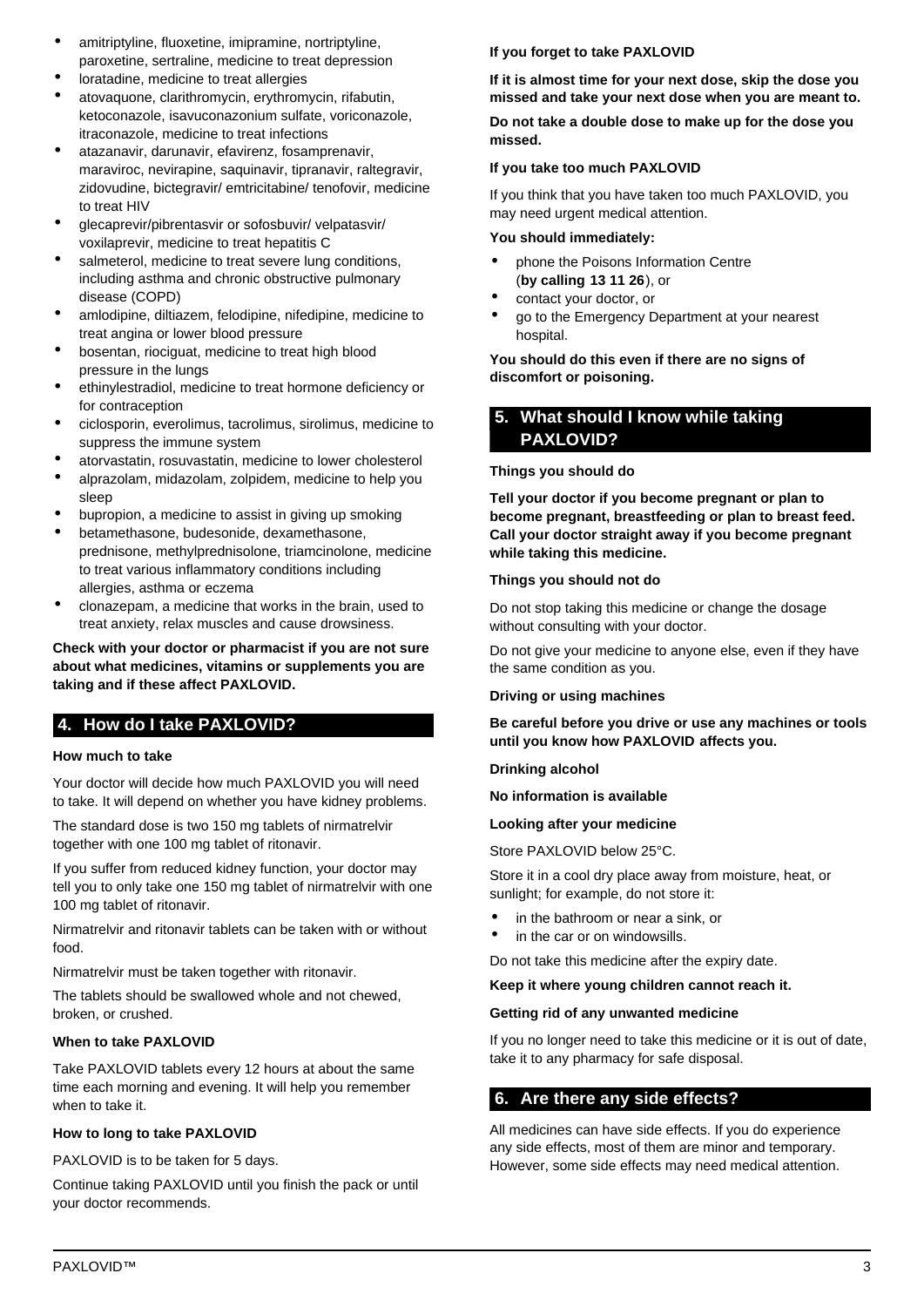- amitriptyline, fluoxetine, imipramine, nortriptyline, paroxetine, sertraline, medicine to treat depression
- loratadine, medicine to treat allergies
- atovaquone, clarithromycin, erythromycin, rifabutin, ketoconazole, isavuconazonium sulfate, voriconazole, itraconazole, medicine to treat infections
- atazanavir, darunavir, efavirenz, fosamprenavir, maraviroc, nevirapine, saquinavir, tipranavir, raltegravir, zidovudine, bictegravir/ emtricitabine/ tenofovir, medicine to treat HIV
- glecaprevir/pibrentasvir or sofosbuvir/ velpatasvir/ voxilaprevir, medicine to treat hepatitis C
- salmeterol, medicine to treat severe lung conditions, including asthma and chronic obstructive pulmonary disease (COPD)
- amlodipine, diltiazem, felodipine, nifedipine, medicine to treat angina or lower blood pressure
- bosentan, riociguat, medicine to treat high blood pressure in the lungs
- ethinylestradiol, medicine to treat hormone deficiency or for contraception
- ciclosporin, everolimus, tacrolimus, sirolimus, medicine to suppress the immune system
- atorvastatin, rosuvastatin, medicine to lower cholesterol
- alprazolam, midazolam, zolpidem, medicine to help you sleep
- bupropion, a medicine to assist in giving up smoking
- betamethasone, budesonide, dexamethasone, prednisone, methylprednisolone, triamcinolone, medicine to treat various inflammatory conditions including allergies, asthma or eczema
- clonazepam, a medicine that works in the brain, used to treat anxiety, relax muscles and cause drowsiness.

**Check with your doctor or pharmacist if you are not sure about what medicines, vitamins or supplements you are taking and if these affect PAXLOVID.**

# <span id="page-2-0"></span>**4. How do I take PAXLOVID?**

# **How much to take**

Your doctor will decide how much PAXLOVID you will need to take. It will depend on whether you have kidney problems.

The standard dose is two 150 mg tablets of nirmatrelvir together with one 100 mg tablet of ritonavir.

If you suffer from reduced kidney function, your doctor may tell you to only take one 150 mg tablet of nirmatrelvir with one 100 mg tablet of ritonavir.

Nirmatrelvir and ritonavir tablets can be taken with or without food.

Nirmatrelvir must be taken together with ritonavir.

The tablets should be swallowed whole and not chewed, broken, or crushed.

# **When to take PAXLOVID**

Take PAXLOVID tablets every 12 hours at about the same time each morning and evening. It will help you remember when to take it.

# **How to long to take PAXLOVID**

PAXLOVID is to be taken for 5 days.

Continue taking PAXLOVID until you finish the pack or until your doctor recommends.

## **If you forget to take PAXLOVID**

**If it is almost time for your next dose, skip the dose you missed and take your next dose when you are meant to.**

**Do not take a double dose to make up for the dose you missed.**

## **If you take too much PAXLOVID**

If you think that you have taken too much PAXLOVID, you may need urgent medical attention.

## **You should immediately:**

- phone the Poisons Information Centre (**by calling 13 11 26**), or
- contact your doctor, or
- go to the Emergency Department at your nearest hospital.

**You should do this even if there are no signs of discomfort or poisoning.**

# <span id="page-2-1"></span>**5. What should I know while taking PAXLOVID?**

## **Things you should do**

**Tell your doctor if you become pregnant or plan to become pregnant, breastfeeding or plan to breast feed. Call your doctor straight away if you become pregnant while taking this medicine.**

## **Things you should not do**

Do not stop taking this medicine or change the dosage without consulting with your doctor.

Do not give your medicine to anyone else, even if they have the same condition as you.

**Driving or using machines**

**Be careful before you drive or use any machines or tools until you know how PAXLOVID affects you.**

#### **Drinking alcohol**

**No information is available**

#### **Looking after your medicine**

Store PAXLOVID below 25°C.

Store it in a cool dry place away from moisture, heat, or sunlight; for example, do not store it:

- in the bathroom or near a sink, or
- in the car or on windowsills.

Do not take this medicine after the expiry date.

#### **Keep it where young children cannot reach it.**

#### **Getting rid of any unwanted medicine**

If you no longer need to take this medicine or it is out of date, take it to any pharmacy for safe disposal.

# <span id="page-2-2"></span>**6. Are there any side effects?**

All medicines can have side effects. If you do experience any side effects, most of them are minor and temporary. However, some side effects may need medical attention.